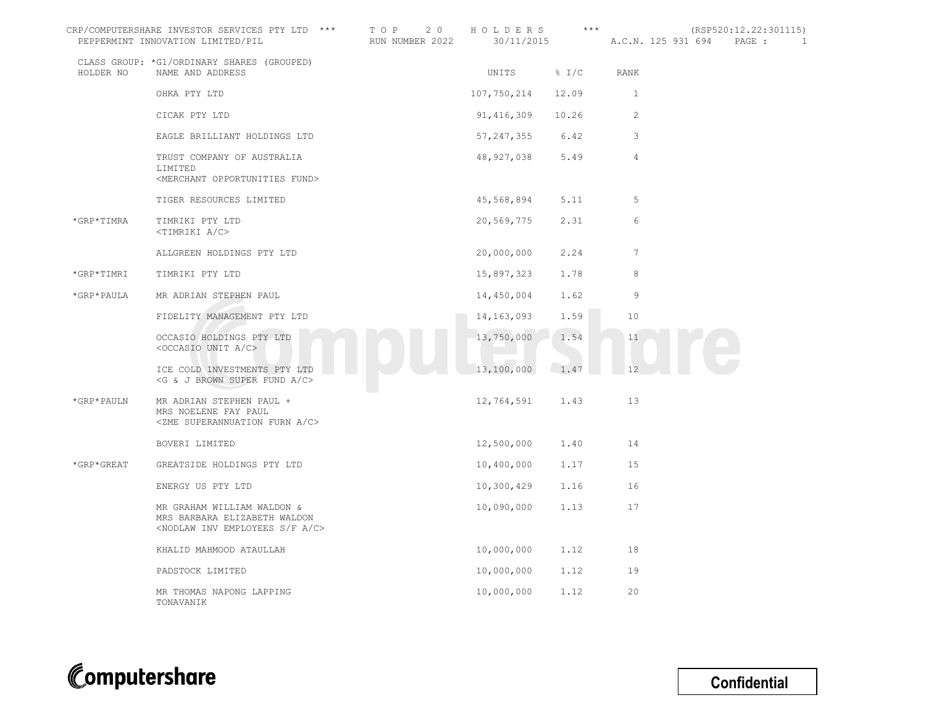|            | CRP/COMPUTERSHARE INVESTOR SERVICES PTY LTD ***<br>PEPPERMINT INNOVATION LIMITED/PIL                                    | T O P<br>2 0<br>RUN NUMBER 2022 | HOLDERS<br>30/11/2015 | $***$ | A.C.N. 125 931 694 | (RSP520:12.22:301115)<br>PAGE :<br>1 |
|------------|-------------------------------------------------------------------------------------------------------------------------|---------------------------------|-----------------------|-------|--------------------|--------------------------------------|
| HOLDER NO  | CLASS GROUP: *G1/ORDINARY SHARES (GROUPED)<br>NAME AND ADDRESS                                                          |                                 | UNITS                 | % I/C | RANK               |                                      |
|            | OHKA PTY LTD                                                                                                            |                                 | 107,750,214           | 12.09 | 1                  |                                      |
|            | CICAK PTY LTD                                                                                                           |                                 | 91,416,309            | 10.26 | 2                  |                                      |
|            | EAGLE BRILLIANT HOLDINGS LTD                                                                                            |                                 | 57, 247, 355 6.42     |       | 3                  |                                      |
|            | TRUST COMPANY OF AUSTRALIA<br>LIMITED<br><merchant fund="" opportunities=""></merchant>                                 |                                 | 48,927,038            | 5.49  | $\overline{4}$     |                                      |
|            | TIGER RESOURCES LIMITED                                                                                                 |                                 | 45,568,894            | 5.11  | 5                  |                                      |
| *GRP*TIMRA | TIMRIKI PTY LTD<br><timriki a="" c=""></timriki>                                                                        |                                 | 20,569,775            | 2.31  | 6                  |                                      |
|            | ALLGREEN HOLDINGS PTY LTD                                                                                               |                                 | 20,000,000            | 2.24  | $7\phantom{.0}$    |                                      |
| *GRP*TIMRI | TIMRIKI PTY LTD                                                                                                         |                                 | 15,897,323            | 1.78  | 8                  |                                      |
| *GRP*PAULA | MR ADRIAN STEPHEN PAUL                                                                                                  |                                 | 14,450,004            | 1.62  | 9                  |                                      |
|            | FIDELITY MANAGEMENT PTY LTD                                                                                             |                                 | 14,163,093            | 1.59  | 10                 |                                      |
|            | OCCASIO HOLDINGS PTY LTD<br><occasio a="" c="" unit=""></occasio>                                                       |                                 | 13,750,000            | 1.54  | 11                 |                                      |
|            | ICE COLD INVESTMENTS PTY LTD<br><g &="" a="" brown="" c="" fund="" j="" super=""></g>                                   |                                 | 13,100,000            | 1.47  | 12                 |                                      |
| *GRP*PAULN | MR ADRIAN STEPHEN PAUL +<br>MRS NOELENE FAY PAUL<br><zme a="" c="" furn="" superannuation=""></zme>                     |                                 | 12,764,591            | 1.43  | 13                 |                                      |
|            | BOVERI LIMITED                                                                                                          |                                 | 12,500,000            | 1.40  | 14                 |                                      |
| *GRP*GREAT | GREATSIDE HOLDINGS PTY LTD                                                                                              |                                 | 10,400,000            | 1.17  | 15                 |                                      |
|            | ENERGY US PTY LTD                                                                                                       |                                 | 10,300,429            | 1.16  | 16                 |                                      |
|            | MR GRAHAM WILLIAM WALDON &<br>MRS BARBARA ELIZABETH WALDON<br><nodlaw a="" c="" employees="" f="" inv="" s=""></nodlaw> |                                 | 10,090,000            | 1.13  | 17                 |                                      |
|            | KHALID MAHMOOD ATAULLAH                                                                                                 |                                 | 10,000,000            | 1.12  | 18                 |                                      |
|            | PADSTOCK LIMITED                                                                                                        |                                 | 10,000,000            | 1.12  | 19                 |                                      |
|            | MR THOMAS NAPONG LAPPING<br>TONAVANIK                                                                                   |                                 | 10,000,000            | 1.12  | 20                 |                                      |